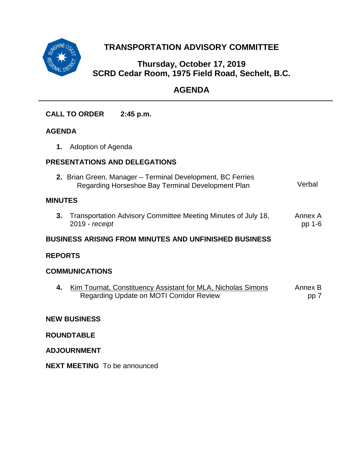

# **TRANSPORTATION ADVISORY COMMITTEE**

## **Thursday, October 17, 2019 SCRD Cedar Room, 1975 Field Road, Sechelt, B.C.**

# **AGENDA**

**CALL TO ORDER 2:45 p.m.**

## **AGENDA**

**1.** Adoption of Agenda

## **PRESENTATIONS AND DELEGATIONS**

**2.** Brian Green, Manager – Terminal Development, BC Ferries Regarding Horseshoe Bay Terminal Development Plan Verbal

## **MINUTES**

**3.** [Transportation Advisory Committee Meeting Minutes](#page-1-0) of July 18, 2019 - *receipt* Annex A pp 1-6

## **BUSINESS ARISING FROM MINUTES AND UNFINISHED BUSINESS**

## **REPORTS**

## **COMMUNICATIONS**

**4.** [Kim Tournat, Constituency Assistant for MLA, Nicholas Simons](#page-7-0) Regarding Update on MOTI Corridor Review Annex B pp 7

## **NEW BUSINESS**

## **ROUNDTABLE**

## **ADJOURNMENT**

**NEXT MEETING** To be announced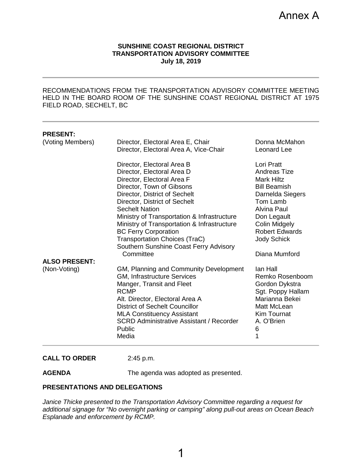#### **SUNSHINE COAST REGIONAL DISTRICT TRANSPORTATION ADVISORY COMMITTEE July 18, 2019**

<span id="page-1-0"></span>RECOMMENDATIONS FROM THE TRANSPORTATION ADVISORY COMMITTEE MEETING HELD IN THE BOARD ROOM OF THE SUNSHINE COAST REGIONAL DISTRICT AT 1975 FIELD ROAD, SECHELT, BC

| <b>PRESENT:</b>      |                                                 |                       |
|----------------------|-------------------------------------------------|-----------------------|
| (Voting Members)     | Director, Electoral Area E, Chair               | Donna McMahon         |
|                      | Director, Electoral Area A, Vice-Chair          | Leonard Lee           |
|                      | Director, Electoral Area B                      | Lori Pratt            |
|                      | Director, Electoral Area D                      | Andreas Tize          |
|                      | Director, Electoral Area F                      | <b>Mark Hiltz</b>     |
|                      | Director, Town of Gibsons                       | <b>Bill Beamish</b>   |
|                      | Director, District of Sechelt                   | Darnelda Siegers      |
|                      | Director, District of Sechelt                   | Tom Lamb              |
|                      | <b>Sechelt Nation</b>                           | Alvina Paul           |
|                      | Ministry of Transportation & Infrastructure     | Don Legault           |
|                      | Ministry of Transportation & Infrastructure     | <b>Colin Midgely</b>  |
|                      | <b>BC Ferry Corporation</b>                     | <b>Robert Edwards</b> |
|                      | <b>Transportation Choices (TraC)</b>            | <b>Jody Schick</b>    |
|                      | Southern Sunshine Coast Ferry Advisory          |                       |
|                      | Committee                                       | Diana Mumford         |
| <b>ALSO PRESENT:</b> |                                                 |                       |
| (Non-Voting)         | GM, Planning and Community Development          | lan Hall              |
|                      | GM, Infrastructure Services                     | Remko Rosenboom       |
|                      | Manger, Transit and Fleet                       | Gordon Dykstra        |
|                      | <b>RCMP</b>                                     | Sgt. Poppy Hallam     |
|                      | Alt. Director, Electoral Area A                 | Marianna Bekei        |
|                      | <b>District of Sechelt Councillor</b>           | Matt McLean           |
|                      | <b>MLA Constituency Assistant</b>               | Kim Tournat           |
|                      | <b>SCRD Administrative Assistant / Recorder</b> | A. O'Brien            |
|                      | Public                                          | 6                     |
|                      | Media                                           | 1                     |
|                      |                                                 |                       |

#### **CALL TO ORDER** 2:45 p.m.

**AGENDA** The agenda was adopted as presented.

#### **PRESENTATIONS AND DELEGATIONS**

*Janice Thicke presented to the Transportation Advisory Committee regarding a request for additional signage for "No overnight parking or camping" along pull-out areas on Ocean Beach Esplanade and enforcement by RCMP.*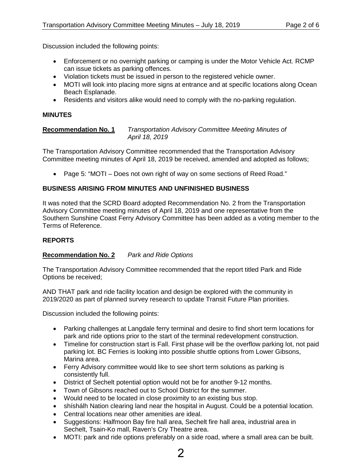Discussion included the following points:

- Enforcement or no overnight parking or camping is under the Motor Vehicle Act. RCMP can issue tickets as parking offences.
- Violation tickets must be issued in person to the registered vehicle owner.
- MOTI will look into placing more signs at entrance and at specific locations along Ocean Beach Esplanade.
- Residents and visitors alike would need to comply with the no-parking regulation.

#### **MINUTES**

#### **Recommendation No. 1** *Transportation Advisory Committee Meeting Minutes of April 18, 2019*

The Transportation Advisory Committee recommended that the Transportation Advisory Committee meeting minutes of April 18, 2019 be received, amended and adopted as follows;

• Page 5: "MOTI – Does not own right of way on some sections of Reed Road."

#### **BUSINESS ARISING FROM MINUTES AND UNFINISHED BUSINESS**

It was noted that the SCRD Board adopted Recommendation No. 2 from the Transportation Advisory Committee meeting minutes of April 18, 2019 and one representative from the Southern Sunshine Coast Ferry Advisory Committee has been added as a voting member to the Terms of Reference.

#### **REPORTS**

#### **Recommendation No. 2** *Park and Ride Options*

The Transportation Advisory Committee recommended that the report titled Park and Ride Options be received;

AND THAT park and ride facility location and design be explored with the community in 2019/2020 as part of planned survey research to update Transit Future Plan priorities.

Discussion included the following points:

- Parking challenges at Langdale ferry terminal and desire to find short term locations for park and ride options prior to the start of the terminal redevelopment construction.
- Timeline for construction start is Fall. First phase will be the overflow parking lot, not paid parking lot. BC Ferries is looking into possible shuttle options from Lower Gibsons, Marina area.
- Ferry Advisory committee would like to see short term solutions as parking is consistently full.
- District of Sechelt potential option would not be for another 9-12 months.
- Town of Gibsons reached out to School District for the summer.
- Would need to be located in close proximity to an existing bus stop.
- shíshálh Nation clearing land near the hospital in August. Could be a potential location.
- Central locations near other amenities are ideal.
- Suggestions: Halfmoon Bay fire hall area, Sechelt fire hall area, industrial area in Sechelt, Tsain-Ko mall, Raven's Cry Theatre area.
- MOTI: park and ride options preferably on a side road, where a small area can be built.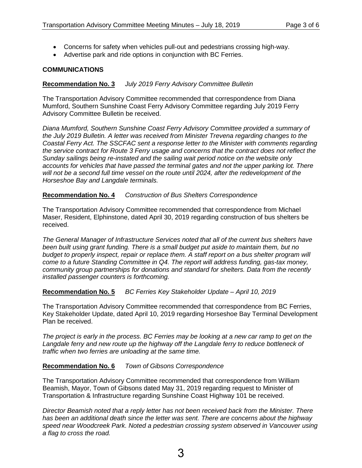- Concerns for safety when vehicles pull-out and pedestrians crossing high-way.
- Advertise park and ride options in conjunction with BC Ferries.

#### **COMMUNICATIONS**

#### **Recommendation No. 3** *July 2019 Ferry Advisory Committee Bulletin*

The Transportation Advisory Committee recommended that correspondence from Diana Mumford, Southern Sunshine Coast Ferry Advisory Committee regarding July 2019 Ferry Advisory Committee Bulletin be received.

*Diana Mumford, Southern Sunshine Coast Ferry Advisory Committee provided a summary of the July 2019 Bulletin. A letter was received from Minister Trevena regarding changes to the Coastal Ferry Act. The SSCFAC sent a response letter to the Minister with comments regarding the service contract for Route 3 Ferry usage and concerns that the contract does not reflect the Sunday sailings being re-instated and the sailing wait period notice on the website only accounts for vehicles that have passed the terminal gates and not the upper parking lot. There will not be a second full time vessel on the route until 2024, after the redevelopment of the Horseshoe Bay and Langdale terminals.* 

#### **Recommendation No. 4** *Construction of Bus Shelters Correspondence*

The Transportation Advisory Committee recommended that correspondence from Michael Maser, Resident, Elphinstone, dated April 30, 2019 regarding construction of bus shelters be received.

*The General Manager of Infrastructure Services noted that all of the current bus shelters have been built using grant funding. There is a small budget put aside to maintain them, but no budget to properly inspect, repair or replace them. A staff report on a bus shelter program will come to a future Standing Committee in Q4. The report will address funding, gas-tax money, community group partnerships for donations and standard for shelters. Data from the recently installed passenger counters is forthcoming.*

#### **Recommendation No. 5** *BC Ferries Key Stakeholder Update – April 10, 2019*

The Transportation Advisory Committee recommended that correspondence from BC Ferries, Key Stakeholder Update, dated April 10, 2019 regarding Horseshoe Bay Terminal Development Plan be received.

*The project is early in the process. BC Ferries may be looking at a new car ramp to get on the Langdale ferry and new route up the highway off the Langdale ferry to reduce bottleneck of traffic when two ferries are unloading at the same time.* 

#### **Recommendation No. 6** *Town of Gibsons Correspondence*

The Transportation Advisory Committee recommended that correspondence from William Beamish, Mayor, Town of Gibsons dated May 31, 2019 regarding request to Minister of Transportation & Infrastructure regarding Sunshine Coast Highway 101 be received.

*Director Beamish noted that a reply letter has not been received back from the Minister. There has been an additional death since the letter was sent. There are concerns about the highway speed near Woodcreek Park. Noted a pedestrian crossing system observed in Vancouver using a flag to cross the road.*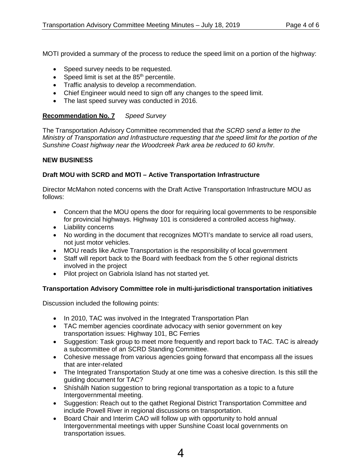MOTI provided a summary of the process to reduce the speed limit on a portion of the highway:

- Speed survey needs to be requested.
- Speed limit is set at the  $85<sup>th</sup>$  percentile.
- Traffic analysis to develop a recommendation.
- Chief Engineer would need to sign off any changes to the speed limit.
- The last speed survey was conducted in 2016.

## **Recommendation No. 7** *Speed Survey*

The Transportation Advisory Committee recommended that *the SCRD send a letter to the Ministry of Transportation and Infrastructure requesting that the speed limit for the portion of the Sunshine Coast highway near the Woodcreek Park area be reduced to 60 km/hr.*

#### **NEW BUSINESS**

## **Draft MOU with SCRD and MOTI – Active Transportation Infrastructure**

Director McMahon noted concerns with the Draft Active Transportation Infrastructure MOU as follows:

- Concern that the MOU opens the door for requiring local governments to be responsible for provincial highways. Highway 101 is considered a controlled access highway.
- Liability concerns
- No wording in the document that recognizes MOTI's mandate to service all road users, not just motor vehicles.
- MOU reads like Active Transportation is the responsibility of local government
- Staff will report back to the Board with feedback from the 5 other regional districts involved in the project
- Pilot project on Gabriola Island has not started yet.

## **Transportation Advisory Committee role in multi-jurisdictional transportation initiatives**

Discussion included the following points:

- In 2010, TAC was involved in the Integrated Transportation Plan
- TAC member agencies coordinate advocacy with senior government on key transportation issues: Highway 101, BC Ferries
- Suggestion: Task group to meet more frequently and report back to TAC. TAC is already a subcommittee of an SCRD Standing Committee.
- Cohesive message from various agencies going forward that encompass all the issues that are inter-related
- The Integrated Transportation Study at one time was a cohesive direction. Is this still the guiding document for TAC?
- Shíshálh Nation suggestion to bring regional transportation as a topic to a future Intergovernmental meeting.
- Suggestion: Reach out to the qathet Regional District Transportation Committee and include Powell River in regional discussions on transportation.
- Board Chair and Interim CAO will follow up with opportunity to hold annual Intergovernmental meetings with upper Sunshine Coast local governments on transportation issues.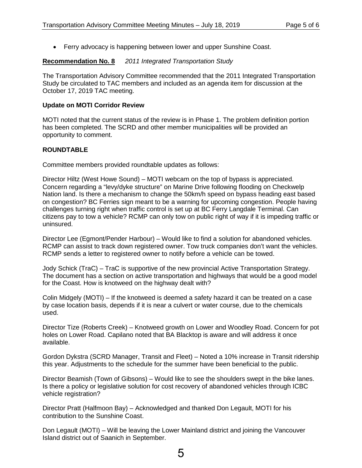• Ferry advocacy is happening between lower and upper Sunshine Coast.

#### **Recommendation No. 8** *2011 Integrated Transportation Study*

The Transportation Advisory Committee recommended that the 2011 Integrated Transportation Study be circulated to TAC members and included as an agenda item for discussion at the October 17, 2019 TAC meeting.

#### **Update on MOTI Corridor Review**

MOTI noted that the current status of the review is in Phase 1. The problem definition portion has been completed. The SCRD and other member municipalities will be provided an opportunity to comment.

#### **ROUNDTABLE**

Committee members provided roundtable updates as follows:

Director Hiltz (West Howe Sound) – MOTI webcam on the top of bypass is appreciated. Concern regarding a "levy/dyke structure" on Marine Drive following flooding on Checkwelp Nation land. Is there a mechanism to change the 50km/h speed on bypass heading east based on congestion? BC Ferries sign meant to be a warning for upcoming congestion. People having challenges turning right when traffic control is set up at BC Ferry Langdale Terminal. Can citizens pay to tow a vehicle? RCMP can only tow on public right of way if it is impeding traffic or uninsured.

Director Lee (Egmont/Pender Harbour) – Would like to find a solution for abandoned vehicles. RCMP can assist to track down registered owner. Tow truck companies don't want the vehicles. RCMP sends a letter to registered owner to notify before a vehicle can be towed.

Jody Schick (TraC) – TraC is supportive of the new provincial Active Transportation Strategy. The document has a section on active transportation and highways that would be a good model for the Coast. How is knotweed on the highway dealt with?

Colin Midgely (MOTI) – If the knotweed is deemed a safety hazard it can be treated on a case by case location basis, depends if it is near a culvert or water course, due to the chemicals used.

Director Tize (Roberts Creek) – Knotweed growth on Lower and Woodley Road. Concern for pot holes on Lower Road. Capilano noted that BA Blacktop is aware and will address it once available.

Gordon Dykstra (SCRD Manager, Transit and Fleet) – Noted a 10% increase in Transit ridership this year. Adjustments to the schedule for the summer have been beneficial to the public.

Director Beamish (Town of Gibsons) – Would like to see the shoulders swept in the bike lanes. Is there a policy or legislative solution for cost recovery of abandoned vehicles through ICBC vehicle registration?

Director Pratt (Halfmoon Bay) – Acknowledged and thanked Don Legault, MOTI for his contribution to the Sunshine Coast.

Don Legault (MOTI) – Will be leaving the Lower Mainland district and joining the Vancouver Island district out of Saanich in September.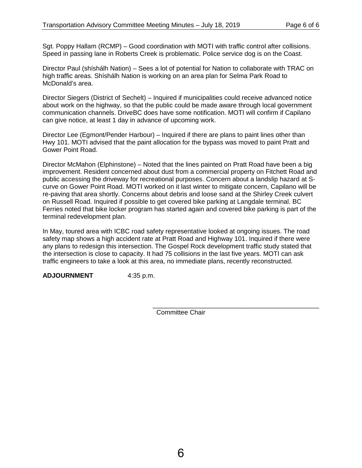Sgt. Poppy Hallam (RCMP) – Good coordination with MOTI with traffic control after collisions. Speed in passing lane in Roberts Creek is problematic. Police service dog is on the Coast.

Director Paul (shíshálh Nation) – Sees a lot of potential for Nation to collaborate with TRAC on high traffic areas. Shíshálh Nation is working on an area plan for Selma Park Road to McDonald's area.

Director Siegers (District of Sechelt) – Inquired if municipalities could receive advanced notice about work on the highway, so that the public could be made aware through local government communication channels. DriveBC does have some notification. MOTI will confirm if Capilano can give notice, at least 1 day in advance of upcoming work.

Director Lee (Egmont/Pender Harbour) – Inquired if there are plans to paint lines other than Hwy 101. MOTI advised that the paint allocation for the bypass was moved to paint Pratt and Gower Point Road.

Director McMahon (Elphinstone) – Noted that the lines painted on Pratt Road have been a big improvement. Resident concerned about dust from a commercial property on Fitchett Road and public accessing the driveway for recreational purposes. Concern about a landslip hazard at Scurve on Gower Point Road. MOTI worked on it last winter to mitigate concern, Capilano will be re-paving that area shortly. Concerns about debris and loose sand at the Shirley Creek culvert on Russell Road. Inquired if possible to get covered bike parking at Langdale terminal. BC Ferries noted that bike locker program has started again and covered bike parking is part of the terminal redevelopment plan.

In May, toured area with ICBC road safety representative looked at ongoing issues. The road safety map shows a high accident rate at Pratt Road and Highway 101. Inquired if there were any plans to redesign this intersection. The Gospel Rock development traffic study stated that the intersection is close to capacity. It had 75 collisions in the last five years. MOTI can ask traffic engineers to take a look at this area, no immediate plans, recently reconstructed.

**ADJOURNMENT** 4:35 p.m.

\_\_\_\_\_\_\_\_\_\_\_\_\_\_\_\_\_\_\_\_\_\_\_\_\_\_\_\_\_\_\_\_\_\_\_\_\_\_\_\_\_\_\_\_\_\_ Committee Chair